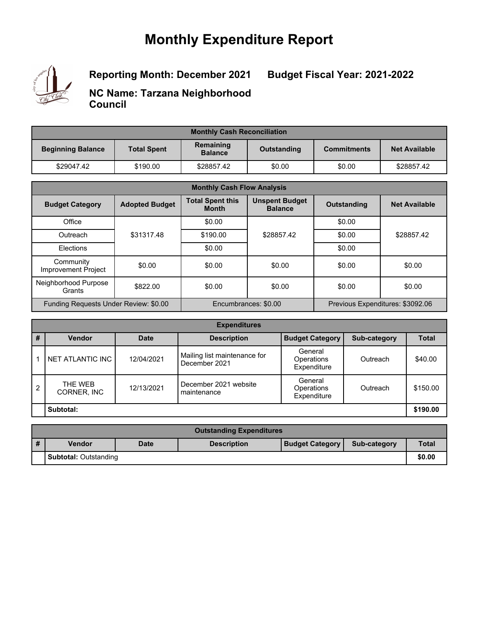## **Monthly Expenditure Report**



**Reporting Month: December 2021**

**Budget Fiscal Year: 2021-2022**

**NC Name: Tarzana Neighborhood Council**

| <b>Monthly Cash Reconciliation</b> |                    |                             |             |                    |                      |  |  |
|------------------------------------|--------------------|-----------------------------|-------------|--------------------|----------------------|--|--|
| <b>Beginning Balance</b>           | <b>Total Spent</b> | Remaining<br><b>Balance</b> | Outstanding | <b>Commitments</b> | <b>Net Available</b> |  |  |
| \$29047.42                         | \$190.00           | \$28857.42                  | \$0.00      | \$0.00             | \$28857.42           |  |  |

| <b>Monthly Cash Flow Analysis</b>       |                       |                                         |                                         |                    |                                  |  |
|-----------------------------------------|-----------------------|-----------------------------------------|-----------------------------------------|--------------------|----------------------------------|--|
| <b>Budget Category</b>                  | <b>Adopted Budget</b> | <b>Total Spent this</b><br><b>Month</b> | <b>Unspent Budget</b><br><b>Balance</b> | <b>Outstanding</b> | <b>Net Available</b>             |  |
| Office                                  |                       | \$0.00                                  |                                         | \$0.00             |                                  |  |
| Outreach                                | \$31317.48            | \$190.00                                | \$28857.42                              | \$0.00             | \$28857.42                       |  |
| Elections                               |                       | \$0.00                                  |                                         | \$0.00             |                                  |  |
| Community<br><b>Improvement Project</b> | \$0.00                | \$0.00                                  | \$0.00                                  | \$0.00             | \$0.00                           |  |
| Neighborhood Purpose<br>Grants          | \$822.00              | \$0.00                                  | \$0.00                                  | \$0.00             | \$0.00                           |  |
| Funding Requests Under Review: \$0.00   |                       |                                         | Encumbrances: \$0.00                    |                    | Previous Expenditures: \$3092.06 |  |

| <b>Expenditures</b> |                        |             |                                               |                                             |              |              |  |
|---------------------|------------------------|-------------|-----------------------------------------------|---------------------------------------------|--------------|--------------|--|
| #                   | Vendor                 | <b>Date</b> | <b>Description</b>                            | <b>Budget Category</b>                      | Sub-category | <b>Total</b> |  |
|                     | NET ATLANTIC INC       | 12/04/2021  | Mailing list maintenance for<br>December 2021 | General<br><b>Operations</b><br>Expenditure | Outreach     | \$40.00      |  |
| $\overline{2}$      | THE WEB<br>CORNER, INC | 12/13/2021  | December 2021 website<br>maintenance          | General<br>Operations<br>Expenditure        | Outreach     | \$150.00     |  |
|                     | Subtotal:              |             |                                               |                                             |              |              |  |

| <b>Outstanding Expenditures</b> |                              |             |                    |                        |              |              |
|---------------------------------|------------------------------|-------------|--------------------|------------------------|--------------|--------------|
| #                               | <b>Vendor</b>                | <b>Date</b> | <b>Description</b> | <b>Budget Category</b> | Sub-category | <b>Total</b> |
|                                 | <b>Subtotal: Outstanding</b> |             |                    |                        |              | \$0.00       |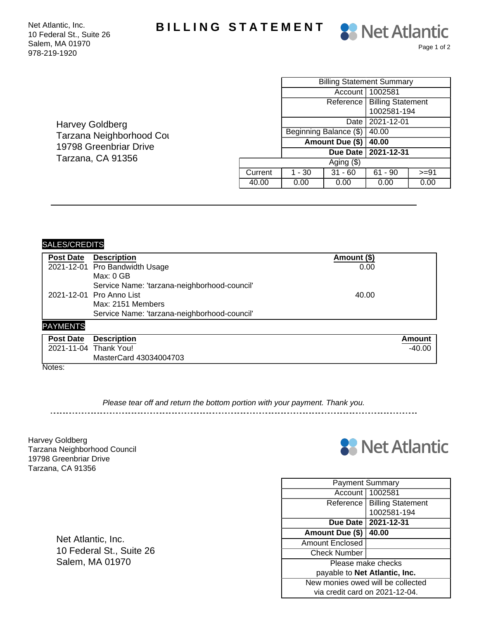Net Atlantic, Inc. **BILLING STATEMENT** 

10 Federal St., Suite 26 Salem, MA 01970 978-219-1920

|         | <b>Billing Statement Summary</b> |                        |                          |        |  |
|---------|----------------------------------|------------------------|--------------------------|--------|--|
|         |                                  | Account I              | 1002581                  |        |  |
|         |                                  | Reference              | <b>Billing Statement</b> |        |  |
|         |                                  |                        | 1002581-194              |        |  |
|         |                                  | Date                   | 2021-12-01               |        |  |
|         |                                  | Beginning Balance (\$) | 40.00                    |        |  |
|         |                                  | Amount Due (\$)        | 40.00                    |        |  |
|         | 2021-12-31<br>Due Date           |                        |                          |        |  |
|         |                                  | Aging $($ math)        |                          |        |  |
| Current | 1 - 30                           | $31 - 60$              | $61 - 90$                | $>=9'$ |  |

40.00 | 0.00 | 0.00 | 0.00 | 0.00

Page 1 of 2

**88** Net Atlantic

Harvey Goldberg Tarzana Neighborhood Cou 19798 Greenbriar Drive Tarzana, CA 91356

| <b>Post Date</b> | <b>Description</b>                           | Amount (\$) |          |  |  |  |
|------------------|----------------------------------------------|-------------|----------|--|--|--|
|                  | 2021-12-01 Pro Bandwidth Usage               | 0.00        |          |  |  |  |
|                  | Max: 0 GB                                    |             |          |  |  |  |
|                  | Service Name: 'tarzana-neighborhood-council' |             |          |  |  |  |
|                  | 2021-12-01 Pro Anno List                     | 40.00       |          |  |  |  |
|                  | Max: 2151 Members                            |             |          |  |  |  |
|                  | Service Name: 'tarzana-neighborhood-council' |             |          |  |  |  |
| <b>PAYMENTS</b>  |                                              |             |          |  |  |  |
| <b>Post Date</b> | <b>Description</b>                           |             | Amount   |  |  |  |
|                  | 2021-11-04 Thank You!                        |             | $-40.00$ |  |  |  |
|                  | MasterCard 43034004703                       |             |          |  |  |  |

Notes:

SALES/CREDITS

Please tear off and return the bottom portion with your payment. Thank you.

Harvey Goldberg Tarzana Neighborhood Council 19798 Greenbriar Drive Tarzana, CA 91356



|                                      | <b>Payment Summary</b>   |  |  |  |
|--------------------------------------|--------------------------|--|--|--|
| Account                              | 1002581                  |  |  |  |
| Reference                            | <b>Billing Statement</b> |  |  |  |
|                                      | 1002581-194              |  |  |  |
|                                      | Due Date   2021-12-31    |  |  |  |
| Amount Due (\$)                      | 40.00                    |  |  |  |
| Amount Enclosed                      |                          |  |  |  |
| <b>Check Number</b>                  |                          |  |  |  |
| Please make checks                   |                          |  |  |  |
| payable to <b>Net Atlantic, Inc.</b> |                          |  |  |  |
| New monies owed will be collected    |                          |  |  |  |
| via credit card on 2021-12-04.       |                          |  |  |  |

Net Atlantic, Inc. 10 Federal St., Suite 26 Salem, MA 01970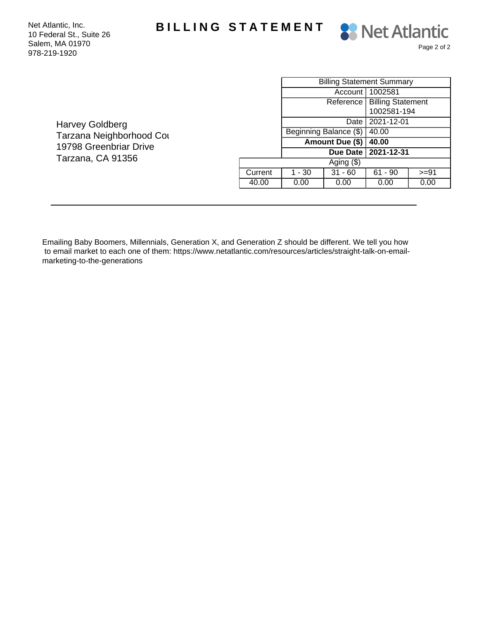Net Atlantic, Inc. **BILLING STATEMENT** 

10 Federal St., Suite 26 Salem, MA 01970 978-219-1920



Harvey Goldberg Tarzana Neighborhood Cou 19798 Greenbriar Drive Tarzana, CA 91356

|              | <b>Billing Statement Summary</b> |           |                               |         |  |
|--------------|----------------------------------|-----------|-------------------------------|---------|--|
|              |                                  |           | Account   1002581             |         |  |
|              |                                  |           | Reference   Billing Statement |         |  |
|              |                                  |           | 1002581-194                   |         |  |
|              |                                  | Date      | 2021-12-01                    |         |  |
|              | Beginning Balance (\$)           |           | 40.00                         |         |  |
|              | Amount Due (\$)                  |           | 40.00                         |         |  |
|              |                                  | Due Date  | 2021-12-31                    |         |  |
| Aging $(\$)$ |                                  |           |                               |         |  |
| Current      | 1 - 30                           | $31 - 60$ | $61 - 90$                     | $>= 91$ |  |
| 40.00        | 0.00                             | 0.00      | 0.00                          | 0.00    |  |

Emailing Baby Boomers, Millennials, Generation X, and Generation Z should be different. We tell you how to email market to each one of them: https://www.netatlantic.com/resources/articles/straight-talk-on-emailmarketing-to-the-generations